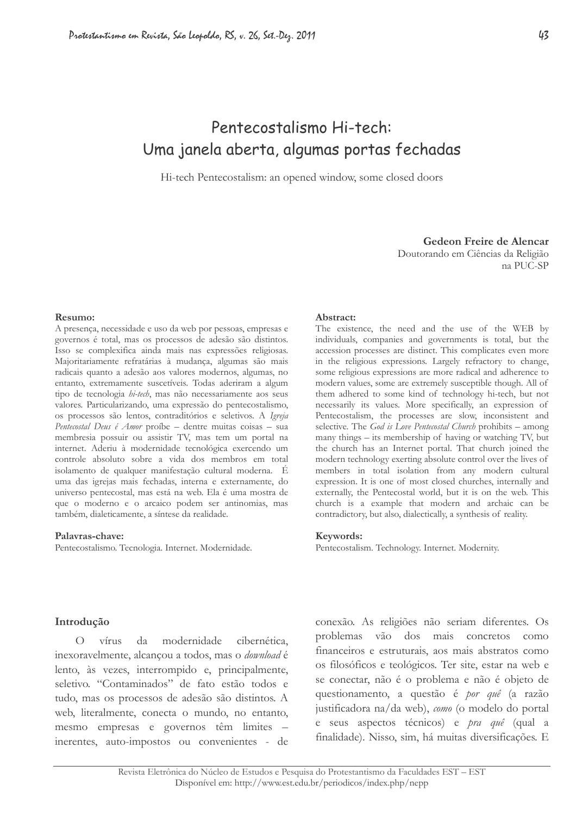# Pentecostalismo Hi-tech: Uma janela aberta, algumas portas fechadas

Hi-tech Pentecostalism: an opened window, some closed doors

Gedeon Freire de Alencar Doutorando em Ciências da Religião na PUC-SP

Resumo:

A presença, necessidade e uso da web por pessoas, empresas e governos é total, mas os processos de adesão são distintos. Isso se complexifica ainda mais nas expressões religiosas. Majoritariamente refratárias à mudança, algumas são mais radicais quanto a adesão aos valores modernos, algumas, no entanto, extremamente suscetíveis. Todas aderiram a algum tipo de tecnologia hi-tech, mas não necessariamente aos seus valores. Particularizando, uma expressão do pentecostalismo, os processos são lentos, contraditórios e seletivos. A Igreja Pentecostal Deus é Amor proíbe - dentre muitas coisas - sua membresia possuir ou assistir TV, mas tem um portal na internet. Aderiu à modernidade tecnológica exercendo um controle absoluto sobre a vida dos membros em total isolamento de qualquer manifestação cultural moderna. É uma das igrejas mais fechadas, interna e externamente, do universo pentecostal, mas está na web. Ela é uma mostra de que o moderno e o arcaico podem ser antinomias, mas também, dialeticamente, a síntese da realidade.

#### Palavras-chave:

Pentecostalismo. Tecnologia. Internet. Modernidade.

#### Abstract:

The existence, the need and the use of the WEB by individuals, companies and governments is total, but the accession processes are distinct. This complicates even more in the religious expressions. Largely refractory to change, some religious expressions are more radical and adherence to modern values, some are extremely susceptible though. All of them adhered to some kind of technology hi-tech, but not necessarily its values. More specifically, an expression of Pentecostalism, the processes are slow, inconsistent and selective. The God is Love Pentecostal Church prohibits – among many things – its membership of having or watching TV, but the church has an Internet portal. That church joined the modern technology exerting absolute control over the lives of members in total isolation from any modern cultural expression. It is one of most closed churches, internally and externally, the Pentecostal world, but it is on the web. This church is a example that modern and archaic can be contradictory, but also, dialectically, a synthesis of reality.

#### Keywords:

Pentecostalism. Technology. Internet. Modernity.

#### Introdução

da modernidade cibernética,  $\overline{O}$ vírus inexoravelmente, alcancou a todos, mas o *download* é lento, às vezes, interrompido e, principalmente, seletivo. "Contaminados" de fato estão todos e tudo, mas os processos de adesão são distintos. A web, literalmente, conecta o mundo, no entanto, mesmo empresas e governos têm limites inerentes, auto-impostos ou convenientes - de

conexão. As religiões não seriam diferentes. Os problemas vão dos mais concretos como financeiros e estruturais, aos mais abstratos como os filosóficos e teológicos. Ter site, estar na web e se conectar, não é o problema e não é objeto de questionamento, a questão é por quê (a razão justificadora na/da web), como (o modelo do portal e seus aspectos técnicos) e *pra quê* (qual a finalidade). Nisso, sim, há muitas diversificações. E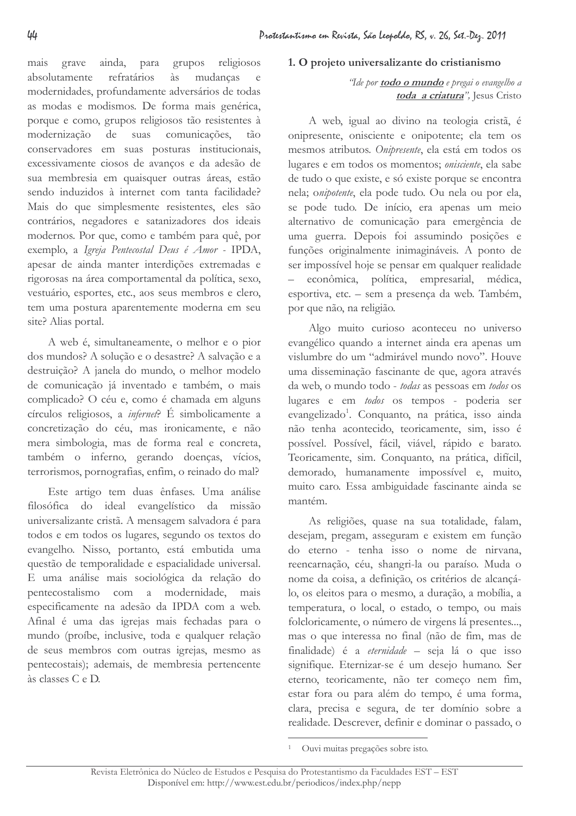grave ainda, para grupos religiosos mais absolutamente refratários mudancas às e modernidades, profundamente adversários de todas as modas e modismos. De forma mais genérica, porque e como, grupos religiosos tão resistentes à modernização de suas comunicações,  $t\tilde{a}$ conservadores em suas posturas institucionais, excessivamente ciosos de avanços e da adesão de sua membresia em quaisquer outras áreas, estão sendo induzidos à internet com tanta facilidade? Mais do que simplesmente resistentes, eles são contrários, negadores e satanizadores dos ideais modernos. Por que, como e também para quê, por exemplo, a Igreja Pentecostal Deus é Amor - IPDA, apesar de ainda manter interdições extremadas e rigorosas na área comportamental da política, sexo, vestuário, esportes, etc., aos seus membros e clero, tem uma postura aparentemente moderna em seu site? Alias portal.

A web é, simultaneamente, o melhor e o pior dos mundos? A solução e o desastre? A salvação e a destruição? A janela do mundo, o melhor modelo de comunicação já inventado e também, o mais complicado? O céu e, como é chamada em alguns círculos religiosos, a infernet? É simbolicamente a concretização do céu, mas ironicamente, e não mera simbologia, mas de forma real e concreta, também o inferno, gerando doenças, vícios, terrorismos, pornografias, enfim, o reinado do mal?

Este artigo tem duas ênfases. Uma análise filosófica do ideal evangelístico da missão universalizante cristã. A mensagem salvadora é para todos e em todos os lugares, segundo os textos do evangelho. Nisso, portanto, está embutida uma questão de temporalidade e espacialidade universal. E uma análise mais sociológica da relação do pentecostalismo com a modernidade, mais especificamente na adesão da IPDA com a web. Afinal é uma das igrejas mais fechadas para o mundo (proíbe, inclusive, toda e qualquer relação de seus membros com outras igrejas, mesmo as pentecostais); ademais, de membresia pertencente às classes C e D.

# 1. O projeto universalizante do cristianismo

# "Ide por **todo o mundo** e pregai o evangelho a toda a criatura", Jesus Cristo

A web, igual ao divino na teologia cristã, é onipresente, onisciente e onipotente; ela tem os mesmos atributos. Onipresente, ela está em todos os lugares e em todos os momentos; onisciente, ela sabe de tudo o que existe, e só existe porque se encontra nela; onipotente, ela pode tudo. Ou nela ou por ela, se pode tudo. De início, era apenas um meio alternativo de comunicação para emergência de uma guerra. Depois foi assumindo posições e funções originalmente inimagináveis. A ponto de ser impossível hoje se pensar em qualquer realidade econômica, política, empresarial, médica,  $\equiv$ esportiva, etc. - sem a presença da web. Também, por que não, na religião.

Algo muito curioso aconteceu no universo evangélico quando a internet ainda era apenas um vislumbre do um "admirável mundo novo". Houve uma disseminação fascinante de que, agora através da web, o mundo todo - todas as pessoas em todos os lugares e em todos os tempos - poderia ser evangelizado<sup>1</sup>. Conquanto, na prática, isso ainda não tenha acontecido, teoricamente, sim, isso é possível. Possível, fácil, viável, rápido e barato. Teoricamente, sim. Conquanto, na prática, difícil, demorado, humanamente impossível e, muito, muito caro. Essa ambiguidade fascinante ainda se mantém.

As religiões, quase na sua totalidade, falam, desejam, pregam, asseguram e existem em função do eterno - tenha isso o nome de nirvana, reencarnação, céu, shangri-la ou paraíso. Muda o nome da coisa, a definição, os critérios de alcançálo, os eleitos para o mesmo, a duração, a mobília, a temperatura, o local, o estado, o tempo, ou mais folcloricamente, o número de virgens lá presentes... mas o que interessa no final (não de fim, mas de finalidade) é a *eternidade* – seja lá o que isso signifique. Eternizar-se é um desejo humano. Ser eterno, teoricamente, não ter começo nem fim, estar fora ou para além do tempo, é uma forma, clara, precisa e segura, de ter domínio sobre a realidade. Descrever, definir e dominar o passado, o

<sup>&</sup>lt;sup>1</sup> Ouvi muitas pregações sobre isto.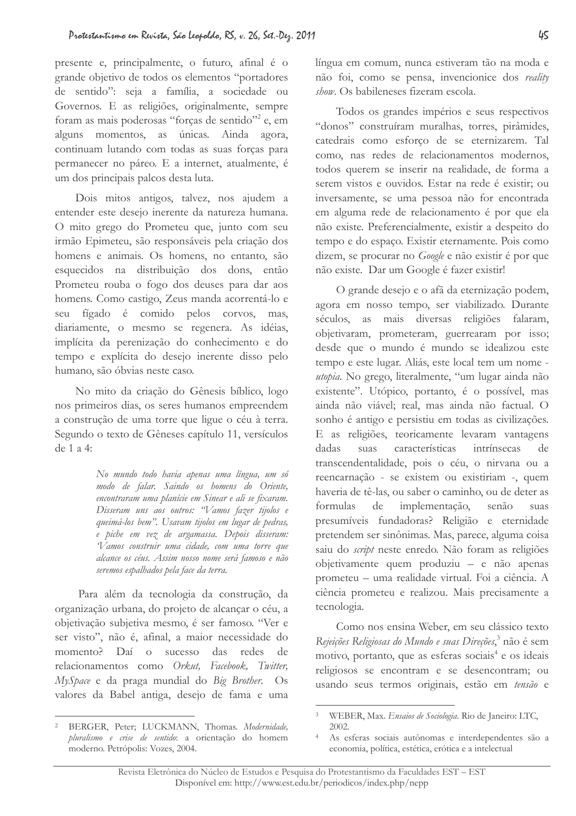presente e, principalmente, o futuro, afinal é o grande objetivo de todos os elementos "portadores de sentido": seja a família, a sociedade ou Governos. E as religiões, originalmente, sempre foram as mais poderosas "forças de sentido"<sup>2</sup> e, em alguns momentos, as únicas. Ainda agora, continuam lutando com todas as suas forças para permanecer no páreo. E a internet, atualmente, é um dos principais palcos desta luta.

Dois mitos antigos, talvez, nos ajudem a entender este desejo inerente da natureza humana. O mito grego do Prometeu que, junto com seu irmão Epimeteu, são responsáveis pela criação dos homens e animais. Os homens, no entanto, são esquecidos na distribuição dos dons, então Prometeu rouba o fogo dos deuses para dar aos homens. Como castigo, Zeus manda acorrentá-lo e seu fígado é comido pelos corvos, mas, diariamente, o mesmo se regenera. As idéias, implícita da perenização do conhecimento e do tempo e explícita do desejo inerente disso pelo humano, são óbvias neste caso.

No mito da criação do Gênesis bíblico, logo nos primeiros dias, os seres humanos empreendem a construção de uma torre que ligue o céu à terra. Segundo o texto de Gêneses capítulo 11, versículos de 1 a 4:

> No mundo todo havia apenas uma língua, um só modo de falar. Saindo os homens do Oriente, encontraram uma planície em Sinear e ali se fixaram. Disseram uns aos outros: "Vamos fazer tijolos e queimá-los bem". Usavam tijolos em lugar de pedras, e piche em vez de argamassa. Depois disseram: Vamos construir uma cidade, com uma torre que alcance os céus. Assim nosso nome será famoso e não seremos espalhados pela face da terra.

Para além da tecnologia da construção, da organização urbana, do projeto de alcançar o céu, a objetivação subjetiva mesmo, é ser famoso. "Ver e ser visto", não é, afinal, a maior necessidade do momento? Daí o sucesso das redes de relacionamentos como Orkut, Facebook, Twitter, MySpace e da praga mundial do Big Brother. Os valores da Babel antiga, desejo de fama e uma

língua em comum, nunca estiveram tão na moda e não foi, como se pensa, invencionice dos reality show. Os babileneses fizeram escola.

Todos os grandes impérios e seus respectivos "donos" construíram muralhas, torres, pirâmides, catedrais como esforco de se eternizarem. Tal como, nas redes de relacionamentos modernos. todos querem se inserir na realidade, de forma a serem vistos e ouvidos. Estar na rede é existir; ou inversamente, se uma pessoa não for encontrada em alguma rede de relacionamento é por que ela não existe. Preferencialmente, existir a despeito do tempo e do espaço. Existir eternamente. Pois como dizem, se procurar no Google e não existir é por que não existe. Dar um Google é fazer existir!

O grande desejo e o afã da eternização podem, agora em nosso tempo, ser viabilizado. Durante séculos, as mais diversas religiões falaram, objetivaram, prometeram, guerrearam por isso; desde que o mundo é mundo se idealizou este tempo e este lugar. Aliás, este local tem um nome utopia. No grego, literalmente, "um lugar ainda não existente". Utópico, portanto, é o possível, mas ainda não viável; real, mas ainda não factual. O sonho é antigo e persistiu em todas as civilizações. E as religiões, teoricamente levaram vantagens dadas suas características intrínsecas de transcendentalidade, pois o céu, o nirvana ou a reencarnação - se existem ou existiriam -, quem haveria de tê-las, ou saber o caminho, ou de deter as formulas implementação,  $de$ senão suas presumíveis fundadoras? Religião e eternidade pretendem ser sinônimas. Mas, parece, alguma coisa saiu do script neste enredo. Não foram as religiões objetivamente quem produziu - e não apenas prometeu - uma realidade virtual. Foi a ciência. A ciência prometeu e realizou. Mais precisamente a tecnologia.

Como nos ensina Weber, em seu clássico texto Rejeições Religiosas do Mundo e suas Direções,<sup>3</sup> não é sem motivo, portanto, que as esferas sociais<sup>4</sup> e os ideais religiosos se encontram e se desencontram; ou usando seus termos originais, estão em tensão e

<sup>&</sup>lt;sup>2</sup> BERGER, Peter; LUCKMANN, Thomas. Modernidade, pluralismo e crise de sentido: a orientação do homem moderno. Petrópolis: Vozes, 2004.

 $3^{\circ}$ WEBER, Max. Ensaios de Sociologia. Rio de Janeiro: LTC, 2002

As esferas sociais autônomas e interdependentes são a economia, política, estética, erótica e a intelectual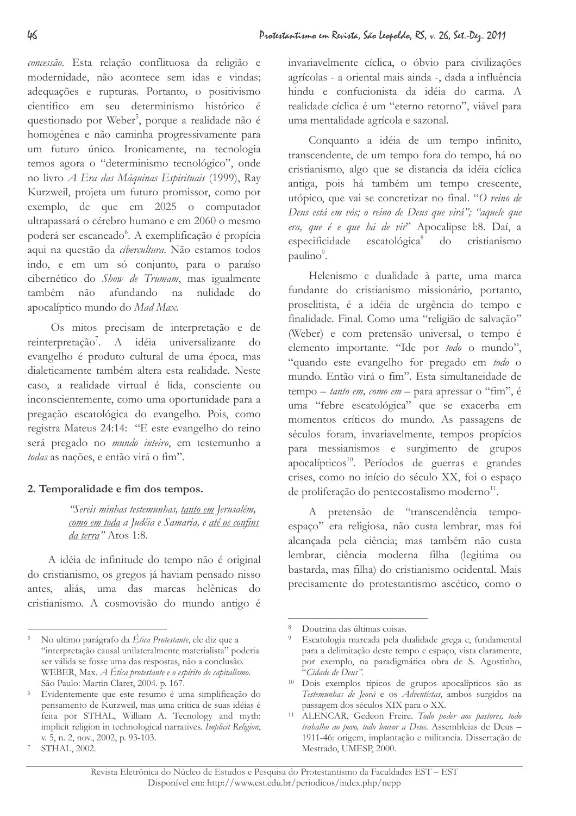concessão. Esta relação conflituosa da religião e modernidade, não acontece sem idas e vindas; adequações e rupturas. Portanto, o positivismo científico em seu determinismo histórico é questionado por Weber<sup>5</sup>, porque a realidade não é homogênea e não caminha progressivamente para um futuro único. Ironicamente, na tecnologia temos agora o "determinismo tecnológico", onde no livro A Era das Máquinas Espirituais (1999), Ray Kurzweil, projeta um futuro promissor, como por exemplo, de que em 2025 o computador ultrapassará o cérebro humano e em 2060 o mesmo poderá ser escaneado<sup>6</sup>. A exemplificação é propícia aqui na questão da cibercultura. Não estamos todos indo, e em um só conjunto, para o paraíso cibernético do Show de Trumam, mas igualmente também não afundando na nulidade  $d<sub>O</sub>$ apocalíptico mundo do Mad Max.

Os mitos precisam de interpretação e de reinterpretação<sup>7</sup>. A idéia universalizante do evangelho é produto cultural de uma época, mas dialeticamente também altera esta realidade. Neste caso, a realidade virtual é lida, consciente ou inconscientemente, como uma oportunidade para a pregação escatológica do evangelho. Pois, como registra Mateus 24:14: "E este evangelho do reino será pregado no mundo inteiro, em testemunho a todas as nacões, e então virá o fim".

# 2. Temporalidade e fim dos tempos.

"Sereis minhas testemunhas, tanto em Jerusalém, como em toda a Judéia e Samaria, e até os confins da terra" Atos 1:8.

A idéia de infinitude do tempo não é original do cristianismo, os gregos já haviam pensado nisso antes, aliás, uma das marcas helênicas do cristianismo. A cosmovisão do mundo antigo é invariavelmente cíclica, o óbvio para civilizações agrícolas - a oriental mais ainda -, dada a influência hindu e confucionista da idéia do carma. A realidade cíclica é um "eterno retorno", viável para uma mentalidade agrícola e sazonal.

Conquanto a idéia de um tempo infinito, transcendente, de um tempo fora do tempo, há no cristianismo, algo que se distancia da idéia cíclica antiga, pois há também um tempo crescente, utópico, que vai se concretizar no final. "O reino de Deus está em vós; o reino de Deus que virá"; "aquele que era, que é e que há de vir<sup>2</sup> Apocalipse l:8. Daí, a especificidade escatológica<sup>8</sup> do cristianismo paulino<sup>9</sup>.

Helenismo e dualidade à parte, uma marca fundante do cristianismo missionário, portanto, proselitista, é a idéia de urgência do tempo e finalidade. Final. Como uma "religião de salvação" (Weber) e com pretensão universal, o tempo é elemento importante. "Ide por todo o mundo", "quando este evangelho for pregado em todo o mundo. Então virá o fim". Esta simultaneidade de tempo - tanto em, como em - para apressar o "fim", é uma "febre escatológica" que se exacerba em momentos críticos do mundo. As passagens de séculos foram, invariavelmente, tempos propícios para messianismos e surgimento de grupos apocalípticos<sup>10</sup>. Períodos de guerras e grandes crises, como no início do século XX, foi o espaço de proliferação do pentecostalismo moderno<sup>11</sup>.

A pretensão de "transcendência tempoespaço" era religiosa, não custa lembrar, mas foi alcançada pela ciência; mas também não custa lembrar, ciência moderna filha (legitima ou bastarda, mas filha) do cristianismo ocidental. Mais precisamente do protestantismo ascético, como o

 $\overline{5}$ No ultimo parágrafo da Ética Protestante, ele diz que a "interpretação causal unilateralmente materialista" poderia ser válida se fosse uma das respostas, não a conclusão. WEBER, Max. A Ética protestante e o espírito do capitalismo. São Paulo: Martin Claret, 2004. p. 167.

 $6 -$ Evidentemente que este resumo é uma simplificação do pensamento de Kurzweil, mas uma crítica de suas idéias é feita por STHAL, William A. Tecnology and myth: implicit religion in technological narratives. Implicit Religion, v. 5, n. 2, nov., 2002, p. 93-103.

 $\overline{\phantom{a}}$ STHAL, 2002.

Doutrina das últimas coisas.

<sup>&</sup>lt;sup>9</sup> Escatologia marcada pela dualidade grega e, fundamental para a delimitação deste tempo e espaço, vista claramente, por exemplo, na paradigmática obra de S. Agostinho, "Cidade de Deus".

<sup>&</sup>lt;sup>10</sup> Dois exemplos típicos de grupos apocalípticos são as Testemunhas de Jeová e os Adventistas, ambos surgidos na passagem dos séculos XIX para o XX.

<sup>&</sup>lt;sup>11</sup> ALENCAR, Gedeon Freire. Todo poder aos pastores, todo trabalho ao povo, todo louvor a Deus. Assembleias de Deus -1911-46: origem, implantação e militancia. Dissertação de Mestrado, UMESP, 2000.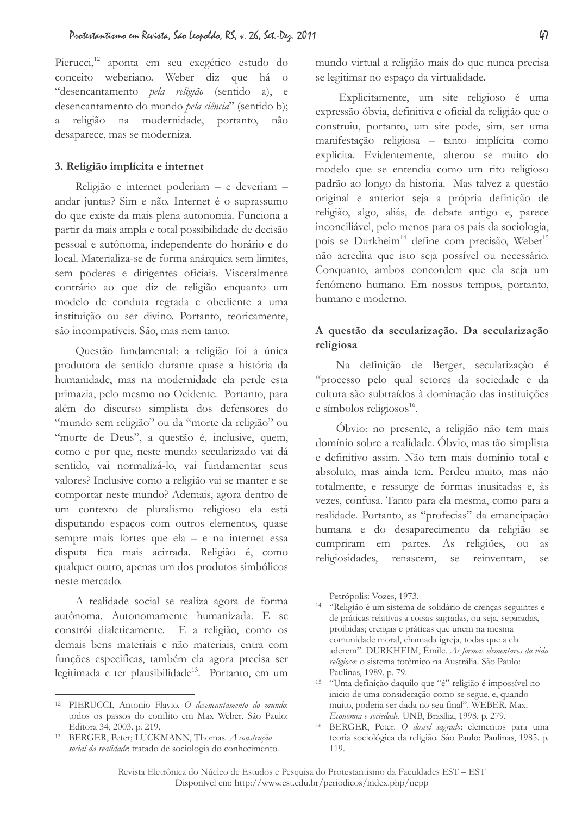Pierucci,<sup>12</sup> aponta em seu exegético estudo do conceito weberiano. Weber diz que há o "desencantamento pela religião (sentido a), e desencantamento do mundo pela ciência" (sentido b); a religião na modernidade, portanto, não desaparece, mas se moderniza.

### 3. Religião implícita e internet

Religião e internet poderiam - e deveriam andar juntas? Sim e não. Internet é o suprassumo do que existe da mais plena autonomia. Funciona a partir da mais ampla e total possibilidade de decisão pessoal e autônoma, independente do horário e do local. Materializa-se de forma anárquica sem limites, sem poderes e dirigentes oficiais. Visceralmente contrário ao que diz de religião enquanto um modelo de conduta regrada e obediente a uma instituição ou ser divino. Portanto, teoricamente, são incompatíveis. São, mas nem tanto.

Questão fundamental: a religião foi a única produtora de sentido durante quase a história da humanidade, mas na modernidade ela perde esta primazia, pelo mesmo no Ocidente. Portanto, para além do discurso simplista dos defensores do "mundo sem religião" ou da "morte da religião" ou "morte de Deus", a questão é, inclusive, quem, como e por que, neste mundo secularizado vai dá sentido, vai normalizá-lo, vai fundamentar seus valores? Inclusive como a religião vai se manter e se comportar neste mundo? Ademais, agora dentro de um contexto de pluralismo religioso ela está disputando espaços com outros elementos, quase sempre mais fortes que ela - e na internet essa disputa fica mais acirrada. Religião é, como qualquer outro, apenas um dos produtos simbólicos neste mercado.

A realidade social se realiza agora de forma autônoma. Autonomamente humanizada. E se constrói dialeticamente. E a religião, como os demais bens materiais e não materiais, entra com funções especificas, também ela agora precisa ser legitimada e ter plausibilidade<sup>13</sup>. Portanto, em um mundo virtual a religião mais do que nunca precisa se legitimar no espaço da virtualidade.

Explicitamente, um site religioso é uma expressão óbvia, definitiva e oficial da religião que o construiu, portanto, um site pode, sim, ser uma manifestação religiosa - tanto implícita como explicita. Evidentemente, alterou se muito do modelo que se entendia como um rito religioso padrão ao longo da historia. Mas talvez a questão original e anterior seja a própria definição de religião, algo, aliás, de debate antigo e, parece inconciliável, pelo menos para os pais da sociologia, pois se Durkheim<sup>14</sup> define com precisão, Weber<sup>15</sup> não acredita que isto seja possível ou necessário. Conquanto, ambos concordem que ela seja um fenômeno humano. Em nossos tempos, portanto, humano e moderno.

### A questão da secularização. Da secularização religiosa

Na definição de Berger, secularização é "processo pelo qual setores da sociedade e da cultura são subtraídos à dominação das instituições e símbolos religiosos<sup>16</sup>.

Óbvio: no presente, a religião não tem mais domínio sobre a realidade. Óbvio, mas tão simplista e definitivo assim. Não tem mais domínio total e absoluto, mas ainda tem. Perdeu muito, mas não totalmente, e ressurge de formas inusitadas e, às vezes, confusa. Tanto para ela mesma, como para a realidade. Portanto, as "profecias" da emancipação humana e do desaparecimento da religião se cumpriram em partes. As religiões, ou *as* religiosidades, renascem, se reinventam,  $se$ 

<sup>&</sup>lt;sup>12</sup> PIERUCCI, Antonio Flavio. O desencantamento do mundo: todos os passos do conflito em Max Weber. São Paulo: Editora 34, 2003. p. 219.

<sup>&</sup>lt;sup>13</sup> BERGER, Peter; LUCKMANN, Thomas. A construção social da realidade: tratado de sociologia do conhecimento.

Petrópolis: Vozes, 1973.

<sup>&</sup>lt;sup>14</sup> "Religião é um sistema de solidário de crenças seguintes e de práticas relativas a coisas sagradas, ou seja, separadas, proibidas; crenças e práticas que unem na mesma comunidade moral, chamada igreja, todas que a ela aderem". DURKHEIM, Émile. As formas elementares da vida religiosa: o sistema totêmico na Austrália. São Paulo: Paulinas, 1989. p. 79.

<sup>&</sup>lt;sup>15</sup> "Uma definição daquilo que "é" religião é impossível no inicio de uma consideração como se segue, e, quando muito, poderia ser dada no seu final". WEBER, Max. Economia e sociedade. UNB, Brasília, 1998. p. 279.

<sup>&</sup>lt;sup>16</sup> BERGER, Peter. O dossel sagrado: elementos para uma teoria sociológica da religião. São Paulo: Paulinas, 1985. p. 119.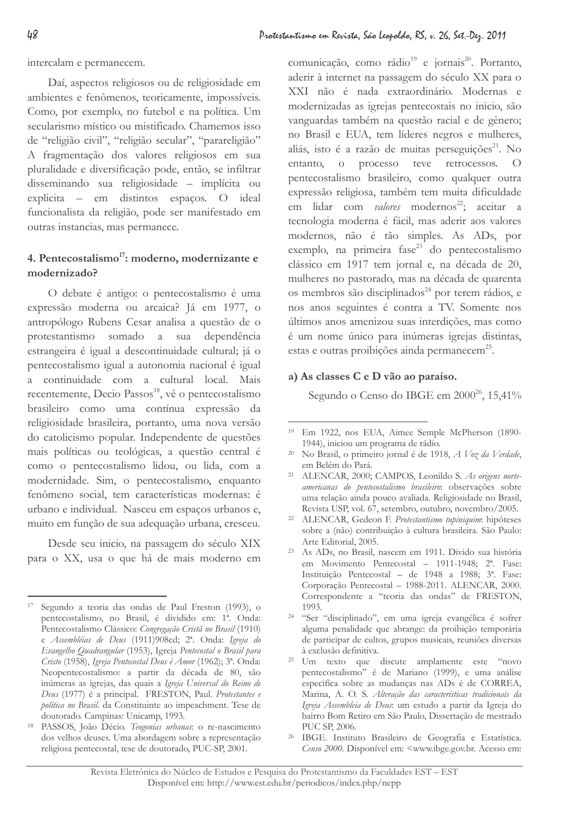intercalam e permanecem.

Daí, aspectos religiosos ou de religiosidade em ambientes e fenômenos, teoricamente, impossíveis. Como, por exemplo, no futebol e na política. Um secularismo místico ou mistificado. Chamemos isso de "religião civil", "religião secular", "parareligião" A fragmentação dos valores religiosos em sua pluralidade e diversificação pode, então, se infiltrar disseminando sua religiosidade - implícita ou explicita – em distintos espaços. O ideal funcionalista da religião, pode ser manifestado em outras instancias, mas permanece.

# 4. Pentecostalismo<sup>17</sup>: moderno, modernizante e modernizado?

O debate é antigo: o pentecostalismo é uma expressão moderna ou arcaica? Já em 1977, o antropólogo Rubens Cesar analisa a questão de o protestantismo somado a sua dependência estrangeira é igual a descontinuidade cultural; já o pentecostalismo igual a autonomia nacional é igual a continuidade com a cultural local. Mais recentemente, Decio Passos<sup>18</sup>, vê o pentecostalismo brasileiro como uma contínua expressão da religiosidade brasileira, portanto, uma nova versão do catolicismo popular. Independente de questões mais políticas ou teológicas, a questão central é como o pentecostalismo lidou, ou lida, com a modernidade. Sim, o pentecostalismo, enquanto fenômeno social, tem características modernas: é urbano e individual. Nasceu em espacos urbanos e. muito em função de sua adequação urbana, cresceu.

Desde seu inicio, na passagem do século XIX para o XX, usa o que há de mais moderno em comunicação, como rádio<sup>19</sup> e jornais<sup>20</sup>. Portanto, aderir à internet na passagem do século XX para o XXI não é nada extraordinário. Modernas e modernizadas as igrejas pentecostais no inicio, são vanguardas também na questão racial e de gênero; no Brasil e EUA, tem líderes negros e mulheres, aliás, isto é a razão de muitas perseguições<sup>21</sup>. No entanto, o processo teve retrocessos.  $\overline{O}$ pentecostalismo brasileiro, como qualquer outra expressão religiosa, também tem muita dificuldade em lidar com valores modernos<sup>22</sup>; aceitar a tecnologia moderna é fácil, mas aderir aos valores modernos, não é tão simples. As ADs, por exemplo, na primeira fase<sup>23</sup> do pentecostalismo clássico em 1917 tem jornal e, na década de 20, mulheres no pastorado, mas na década de quarenta os membros são disciplinados<sup>24</sup> por terem rádios, e nos anos seguintes é contra a TV. Somente nos últimos anos amenizou suas interdições, mas como é um nome único para inúmeras igrejas distintas, estas e outras proibições ainda permanecem<sup>25</sup>.

### a) As classes C e D vão ao paraíso.

Segundo o Censo do IBGE em 2000<sup>26</sup>, 15,41%

<sup>17</sup> Segundo a teoria das ondas de Paul Freston (1993), o pentecostalismo, no Brasil, é dividido em: 1ª. Onda: Pentecostalismo Clássico: Congregação Cristã no Brasil (1910) e Assembléias de Deus (1911)908cd; 2ª. Onda: Igreja do Evangelho Quadrangular (1953), Igreja Pentecostal o Brasil para Cristo (1958), Igreja Pentecostal Deus é Amor (1962); 3<sup>ª</sup>. Onda: Neopentecostalismo: a partir da década de 80, são inúmeras as igrejas, das quais a Igreja Universal do Reino de Deus (1977) é a principal. FRESTON, Paul. Protestantes e política no Brasil. da Constituinte ao impeachment. Tese de doutorado. Campinas: Unicamp, 1993.

<sup>18</sup> PASSOS, João Décio. Teogonias urbanas: o re-nascimento dos velhos deuses. Uma abordagem sobre a representação religiosa pentecostal, tese de doutorado, PUC-SP, 2001.

<sup>&</sup>lt;sup>19</sup> Em 1922, nos EUA, Aimee Semple McPherson (1890-1944), iniciou um programa de rádio.

<sup>&</sup>lt;sup>20</sup> No Brasil, o primeiro jornal é de 1918, A Voz da Verdade, em Belém do Pará.

<sup>&</sup>lt;sup>21</sup> ALENCAR, 2000; CAMPOS, Leonildo S. As origens norteamericanas do pentecostalismo brasileiro: observações sobre uma relação ainda pouco avaliada. Religiosidade no Brasil. Revista USP, vol. 67, setembro, outubro, novembro/2005.

<sup>&</sup>lt;sup>22</sup> ALENCAR, Gedeon F. Protestantismo tupiniquim: hipóteses sobre a (não) contribuição à cultura brasileira. São Paulo: Arte Editorial, 2005.

<sup>&</sup>lt;sup>23</sup> As ADs, no Brasil, nascem em 1911. Divido sua história em Movimento Pentecostal - 1911-1948; 2<sup>a</sup>. Fase: Instituição Pentecostal - de 1948 a 1988: 3<sup>ª</sup>. Fase: Corporação Pentecostal - 1988-2011. ALENCAR, 2000. Correspondente a "teoria das ondas" de FRESTON, 1993

<sup>&</sup>lt;sup>24</sup> "Ser "disciplinado", em uma igreja evangélica é sofrer alguma penalidade que abrange: da proibição temporária de participar de cultos, grupos musicais, reuniões diversas à exclusão definitiva.

<sup>&</sup>lt;sup>25</sup> Um texto que discute amplamente este "novo pentecostalismo" é de Mariano (1999), e uma análise especifica sobre as mudanças nas ADs é de CORREA, Marina, A. O. S. Alteração das características tradicionais da Igreja Assembleia de Deus: um estudo a partir da Igreja do bairro Bom Retiro em São Paulo, Dissertação de mestrado PUC SP, 2006.

 $26$ IBGE. Instituto Brasileiro de Geografia e Estatística. Censo 2000. Disponível em: <www.ibge.gov.br. Acesso em: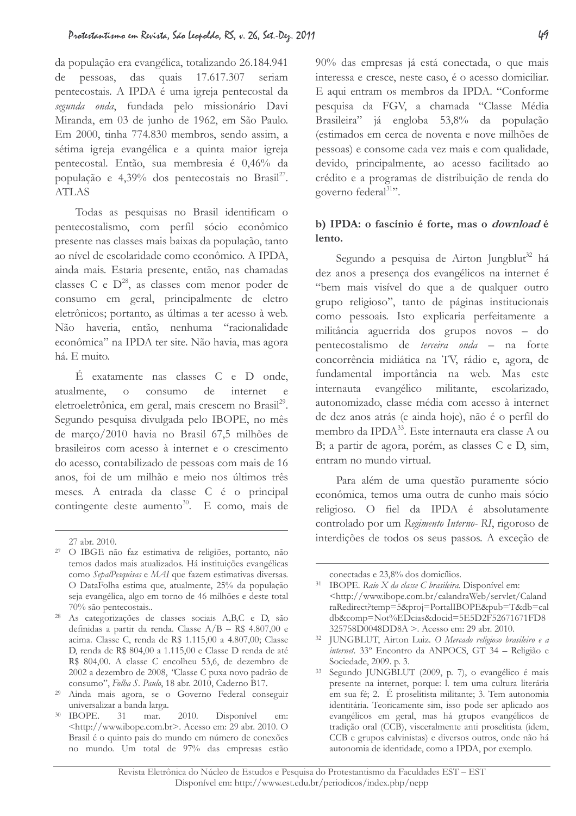da população era evangélica, totalizando 26.184.941 de pessoas, das quais 17.617.307 seriam pentecostais. A IPDA é uma igreja pentecostal da segunda onda, fundada pelo missionário Davi Miranda, em 03 de junho de 1962, em São Paulo. Em 2000, tinha 774.830 membros, sendo assim, a sétima igreja evangélica e a quinta maior igreja pentecostal. Então, sua membresia é 0,46% da população e 4,39% dos pentecostais no Brasil<sup>27</sup>. **ATLAS** 

Todas as pesquisas no Brasil identificam o pentecostalismo, com perfil sócio econômico presente nas classes mais baixas da população, tanto ao nível de escolaridade como econômico. A IPDA, ainda mais. Estaria presente, então, nas chamadas classes C e  $D^{28}$ , as classes com menor poder de consumo em geral, principalmente de eletro eletrônicos; portanto, as últimas a ter acesso à web. Não haveria, então, nenhuma "racionalidade econômica" na IPDA ter site. Não havia, mas agora há. E muito.

É exatamente nas classes C e D onde, atualmente, consumo de internet  $\overline{O}$  $\epsilon$ eletroeletrônica, em geral, mais crescem no Brasil<sup>29</sup>. Segundo pesquisa divulgada pelo IBOPE, no mês de março/2010 havia no Brasil 67,5 milhões de brasileiros com acesso à internet e o crescimento do acesso, contabilizado de pessoas com mais de 16 anos, foi de um milhão e meio nos últimos três meses. A entrada da classe C é o principal contingente deste aumento<sup>30</sup>. E como, mais de

<sup>28</sup> As categorizações de classes sociais A,B,C e D, são definidas a partir da renda. Classe  $A/B - R$ \$ 4.807,00 e acima. Classe C, renda de R\$ 1.115,00 a 4.807,00; Classe D. renda de R\$ 804.00 a 1.115.00 e Classe D renda de até R\$ 804,00. A classe C encolheu 53,6, de dezembro de 2002 a dezembro de 2008, "Classe C puxa novo padrão de consumo", Folha S. Paulo, 18 abr. 2010, Caderno B17.

<sup>29</sup> Ainda mais agora, se o Governo Federal conseguir universalizar a banda larga.

90% das empresas já está conectada, o que mais interessa e cresce, neste caso, é o acesso domiciliar. E aqui entram os membros da IPDA. "Conforme pesquisa da FGV, a chamada "Classe Média Brasileira" já engloba 53,8% da população (estimados em cerca de noventa e nove milhões de pessoas) e consome cada vez mais e com qualidade, devido, principalmente, ao acesso facilitado ao crédito e a programas de distribuição de renda do governo federal<sup>31</sup>".

# b) IPDA: o fascínio é forte, mas o download é lento.

Segundo a pesquisa de Airton Jungblut<sup>32</sup> há dez anos a presença dos evangélicos na internet é "bem mais visível do que a de qualquer outro grupo religioso", tanto de páginas institucionais como pessoais. Isto explicaria perfeitamente a militância aguerrida dos grupos novos - do pentecostalismo de *terceira onda* – na forte concorrência midiática na TV, rádio e, agora, de fundamental importância na web. Mas este internauta evangélico militante, escolarizado, autonomizado, classe média com acesso à internet de dez anos atrás (e ainda hoje), não é o perfil do membro da IPDA<sup>33</sup>. Este internauta era classe A ou B; a partir de agora, porém, as classes C e D, sim, entram no mundo virtual.

Para além de uma questão puramente sócio econômica, temos uma outra de cunho mais sócio religioso. O fiel da IPDA é absolutamente controlado por um Regimento Interno-RI, rigoroso de interdições de todos os seus passos. A exceção de

<sup>27</sup> abr. 2010.

<sup>&</sup>lt;sup>27</sup> O IBGE não faz estimativa de religiões, portanto, não temos dados mais atualizados. Há instituições evangélicas como SepalPesquisas e MAI que fazem estimativas diversas. O DataFolha estima que, atualmente, 25% da população seja evangélica, algo em torno de 46 milhões e deste total 70% são pentecostais..

<sup>&</sup>lt;sup>30</sup> IBOPE. 31 mar. 2010. Disponível em:  $\frac{\text{th}}{2}$  <http://www.ibope.com.br>. Acesso em: 29 abr. 2010. O Brasil é o quinto pais do mundo em número de conexões no mundo. Um total de 97% das empresas estão

conectadas e 23.8% dos domicílios.

<sup>&</sup>lt;sup>31</sup> IBOPE. Raio X da classe C brasileira. Disponível em: <http://www.ibope.com.br/calandraWeb/servlet/Caland raRedirect?temp=5&proj=PortalIBOPE&pub=T&db=cal db&comp=Not%EDcias&docid=5E5D2F52671671FD8  $325758D0048DD8A$  >. Acesso em: 29 abr. 2010.

<sup>32</sup> JUNGBLUT, Airton Luiz. O Mercado religioso brasileiro e a internet. 33º Encontro da ANPOCS, GT 34 - Religião e Sociedade, 2009. p. 3.

 $33<sup>°</sup>$ Segundo JUNGBLUT (2009, p. 7), o evangélico é mais presente na internet, porque: l. tem uma cultura literária em sua fé; 2. É proselitista militante; 3. Tem autonomia identitária. Teoricamente sim, isso pode ser aplicado aos evangélicos em geral, mas há grupos evangélicos de tradicão oral (CCB), visceralmente anti proselitista (idem, CCB e grupos calvinistas) e diversos outros, onde não há autonomia de identidade, como a IPDA, por exemplo.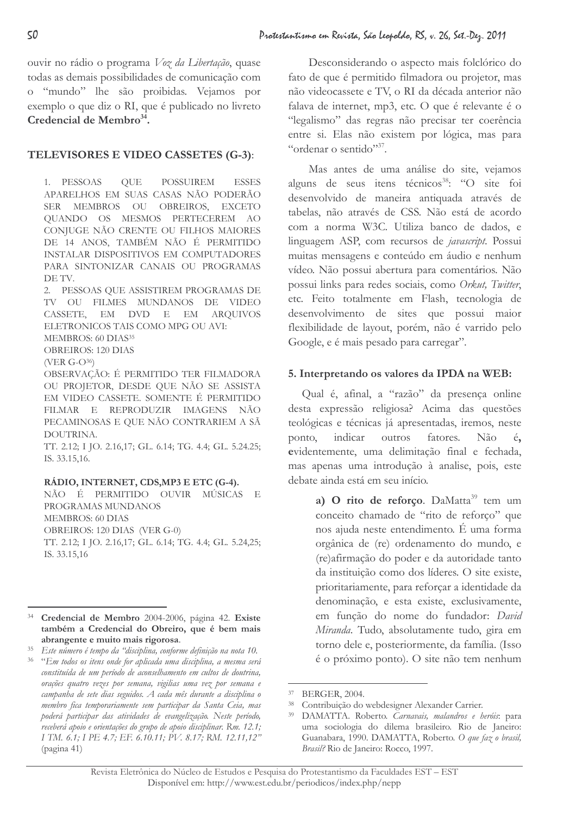ouvir no rádio o programa Voz da Libertação, quase todas as demais possibilidades de comunicação com o "mundo" lhe são proibidas. Vejamos por exemplo o que diz o RI, que é publicado no livreto Credencial de Membro<sup>34</sup>.

# TELEVISORES E VIDEO CASSETES (G-3):

1. PESSOAS OUE POSSUIREM **ESSES** APARELHOS EM SUAS CASAS NÃO PODERÃO SER MEMBROS OU OBREIROS, EXCETO QUANDO OS MESMOS PERTECEREM AO CONJUGE NÃO CRENTE OU FILHOS MAIORES DE 14 ANOS, TAMBÉM NÃO É PERMITIDO INSTALAR DISPOSITIVOS EM COMPUTADORES PARA SINTONIZAR CANAIS OU PROGRAMAS DE TV.

2. PESSOAS QUE ASSISTIREM PROGRAMAS DE TV OU FILMES MUNDANOS DE VIDEO CASSETE, EM DVD E EM ARQUIVOS ELETRONICOS TAIS COMO MPG OU AVI:

MEMBROS: 60 DIAS<sup>35</sup>

OBREIROS: 120 DIAS  $(VER G-O^{36})$ 

OBSERVAÇÃO: É PERMITIDO TER FILMADORA OU PROJETOR, DESDE QUE NÃO SE ASSISTA EM VIDEO CASSETE. SOMENTE É PERMITIDO FILMAR E REPRODUZIR IMAGENS NÃO PECAMINOSAS E QUE NÃO CONTRARIEM A SÃ DOUTRINA.

TT. 2.12; I JO. 2.16,17; GL. 6.14; TG. 4.4; GL. 5.24.25; IS. 33.15,16.

### RÁDIO, INTERNET, CDS, MP3 E ETC (G-4).

NÃO É PERMITIDO OUVIR MÚSICAS E PROGRAMAS MUNDANOS MEMBROS: 60 DIAS OBREIROS: 120 DIAS (VER G-0) TT. 2.12; I JO. 2.16,17; GL. 6.14; TG. 4.4; GL. 5.24,25; IS. 33.15,16

Desconsiderando o aspecto mais folclórico do fato de que é permitido filmadora ou projetor, mas não videocassete e TV, o RI da década anterior não falava de internet, mp3, etc. O que é relevante é o "legalismo" das regras não precisar ter coerência entre si. Elas não existem por lógica, mas para "ordenar o sentido"<sup>37</sup>.

Mas antes de uma análise do site, vejamos alguns de seus itens técnicos<sup>38</sup>: "O site foi desenvolvido de maneira antiquada através de tabelas, não através de CSS. Não está de acordo com a norma W3C. Utiliza banco de dados, e linguagem ASP, com recursos de javascript. Possui muitas mensagens e conteúdo em áudio e nenhum vídeo. Não possui abertura para comentários. Não possui links para redes sociais, como Orkut, Twitter, etc. Feito totalmente em Flash, tecnologia de desenvolvimento de sites que possui maior flexibilidade de layout, porém, não é varrido pelo Google, e é mais pesado para carregar".

# 5. Interpretando os valores da IPDA na WEB:

Qual é, afinal, a "razão" da presença online desta expressão religiosa? Acima das questões teológicas e técnicas já apresentadas, iremos, neste ponto, indicar outros fatores. Não é, evidentemente, uma delimitação final e fechada, mas apenas uma introdução à analise, pois, este debate ainda está em seu início.

> a) O rito de reforço. DaMatta<sup>39</sup> tem um conceito chamado de "rito de reforco" que nos ajuda neste entendimento. É uma forma orgânica de (re) ordenamento do mundo, e (re)afirmação do poder e da autoridade tanto da instituição como dos líderes. O site existe, prioritariamente, para reforçar a identidade da denominação, e esta existe, exclusivamente, em função do nome do fundador: David Miranda. Tudo, absolutamente tudo, gira em torno dele e, posteriormente, da família. (Isso é o próximo ponto). O site não tem nenhum

<sup>&</sup>lt;sup>34</sup> Credencial de Membro 2004-2006, página 42. Existe também a Credencial do Obreiro, que é bem mais abrangente e muito mais rigorosa.

<sup>&</sup>lt;sup>35</sup> Este número é tempo da "disciplina, conforme definição na nota 10.

<sup>&</sup>lt;sup>36</sup> "Em todos os itens onde for aplicada uma disciplina, a mesma será constituída de um período de aconselhamento em cultos de doutrina, orações quatro vezes por semana, vigilias uma vez por semana e campanha de sete dias seguidos. A cada mês durante a disciplina o membro fica temporariamente sem participar da Santa Ceia, mas poderá participar das atividades de evangelização. Neste período, receberá apoio e orientações do grupo de apoio disciplinar. Rm. 12.1; I TM. 6.1; I PE 4.7; EF. 6.10.11; PV. 8.17; RM. 12.11,12" (pagina 41)

<sup>37</sup> BERGER, 2004.

<sup>38</sup> Contribuição do webdesigner Alexander Carrier.

<sup>&</sup>lt;sup>39</sup> DAMATTA. Roberto. Carnavais, malandros e heróis: para uma sociologia do dilema brasileiro. Rio de Janeiro: Guanabara, 1990. DAMATTA, Roberto. O que faz o brasil, Brasil? Rio de Janeiro: Rocco, 1997.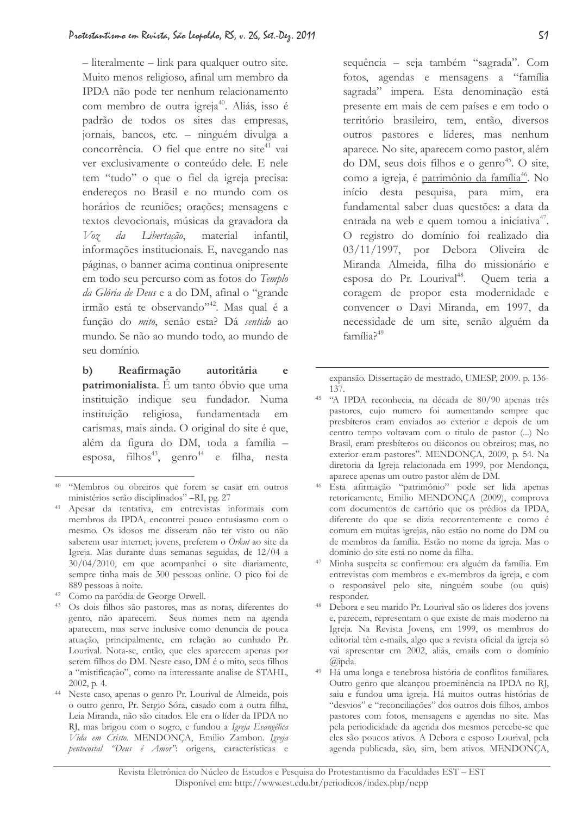$-$  literalmente  $-$  link para qualquer outro site. Muito menos religioso, afinal um membro da IPDA não pode ter nenhum relacionamento com membro de outra igreja<sup>40</sup>. Aliás, isso é padrão de todos os sites das empresas, jornais, bancos, etc. - ninguém divulga a concorrência. O fiel que entre no site41 vai ver exclusivamente o conteúdo dele. E nele tem "tudo" o que o fiel da igreja precisa: endereços no Brasil e no mundo com os horários de reuniões; orações; mensagens e textos devocionais, músicas da gravadora da  $V_{0}$ da Libertação, material infantil, informações institucionais. E, navegando nas páginas, o banner acima continua onipresente em todo seu percurso com as fotos do Templo da Glória de Deus e a do DM, afinal o "grande irmão está te observando"<sup>42</sup>. Mas qual é a função do mito, senão esta? Dá sentido ao mundo. Se não ao mundo todo, ao mundo de seu domínio.

Reafirmação autoritária  $\mathbf{b}$  $\epsilon$ patrimonialista. É um tanto óbvio que uma instituição indique seu fundador. Numa instituicão religiosa, fundamentada em carismas, mais ainda. O original do site é que, além da figura do DM, toda a família esposa, filhos<sup>43</sup>, genro<sup>44</sup> e filha, nesta

sequência - seja também "sagrada". Com fotos, agendas e mensagens a "família sagrada" impera. Esta denominação está presente em mais de cem países e em todo o território brasileiro, tem, então, diversos outros pastores e líderes, mas nenhum aparece. No site, aparecem como pastor, além do DM, seus dois filhos e o genro<sup>45</sup>. O site, como a igreja, é patrimônio da família<sup>46</sup>. No início desta pesquisa, para mim, era fundamental saber duas questões: a data da entrada na web e quem tomou a iniciativa<sup>47</sup>. O registro do domínio foi realizado dia 03/11/1997, por Debora Oliveira de Miranda Almeida, filha do missionário e esposa do Pr. Lourival<sup>48</sup>. Quem teria a coragem de propor esta modernidade e convencer o Davi Miranda, em 1997, da necessidade de um site, senão alguém da  $familia<sup>49</sup>$ 

expansão. Dissertação de mestrado, UMESP, 2009. p. 136-137.

- <sup>45</sup> "A IPDA reconhecia, na década de 80/90 apenas três pastores, cujo numero foi aumentando sempre que presbíteros eram enviados ao exterior e depois de um centro tempo voltavam com o titulo de pastor (...) No Brasil, eram presbíteros ou diáconos ou obreiros; mas, no exterior eram pastores". MENDONCA, 2009, p. 54. Na diretoria da Igreja relacionada em 1999, por Mendonça, aparece apenas um outro pastor além de DM.
- <sup>46</sup> Esta afirmação "patrimônio" pode ser lida apenas retoricamente, Emilio MENDONCA (2009), comprova com documentos de cartório que os prédios da IPDA, diferente do que se dizia recorrentemente e como é comum em muitas igrejas, não estão no nome do DM ou de membros da família. Estão no nome da igreja. Mas o domínio do site está no nome da filha.
- Minha suspeita se confirmou: era alguém da família. Em entrevistas com membros e ex-membros da igreja, e com o responsável pelo site, ninguém soube (ou quis) responder.
- 48 Debora e seu marido Pr. Lourival são os lideres dos jovens e, parecem, representam o que existe de mais moderno na Igreja. Na Revista Jovens, em 1999, os membros do editorial têm e-mails, algo que a revista oficial da igreja só vai apresentar em 2002, aliás, emails com o domínio  $\overline{a}$ inda.
- Há uma longa e tenebrosa história de conflitos familiares. Outro genro que alcançou proeminência na IPDA no RJ, saiu e fundou uma igreja. Há muitos outras histórias de "desvios" e "reconciliações" dos outros dois filhos, ambos pastores com fotos, mensagens e agendas no site. Mas pela periodicidade da agenda dos mesmos percebe-se que eles são poucos ativos. A Debora e esposo Lourival, pela agenda publicada, são, sim, bem ativos. MENDONÇA,

<sup>&</sup>lt;sup>40</sup> "Membros ou obreiros que forem se casar em outros ministérios serão disciplinados" -RI, pg. 27

<sup>&</sup>lt;sup>41</sup> Apesar da tentativa, em entrevistas informais com membros da IPDA, encontrei pouco entusiasmo com o mesmo. Os idosos me disseram não ter visto ou não saberem usar internet; jovens, preferem o Orkut ao site da Igreja. Mas durante duas semanas seguidas, de 12/04 a  $30/04/2010$ , em que acompanhei o site diariamente, sempre tinha mais de 300 pessoas online. O pico foi de 889 pessoas à noite.

<sup>&</sup>lt;sup>42</sup> Como na paródia de George Orwell.

<sup>&</sup>lt;sup>43</sup> Os dois filhos são pastores, mas as noras, diferentes do genro, não aparecem. Seus nomes nem na agenda aparecem, mas serve inclusive como denuncia de pouca atuação, principalmente, em relação ao cunhado Pr. Lourival. Nota-se, então, que eles aparecem apenas por serem filhos do DM. Neste caso, DM é o mito, seus filhos a "mistificação", como na interessante analise de STAHL,  $2002$ , p. 4.

<sup>&</sup>lt;sup>44</sup> Neste caso, apenas o genro Pr. Lourival de Almeida, pois o outro genro, Pr. Sergio Sóra, casado com a outra filha, Leia Miranda, não são citados. Ele era o líder da IPDA no RJ, mas brigou com o sogro, e fundou a Igreja Evangélica Vida em Cristo. MENDONÇA, Emilio Zambon. Igreja pentecostal "Deus é Amor": origens, características e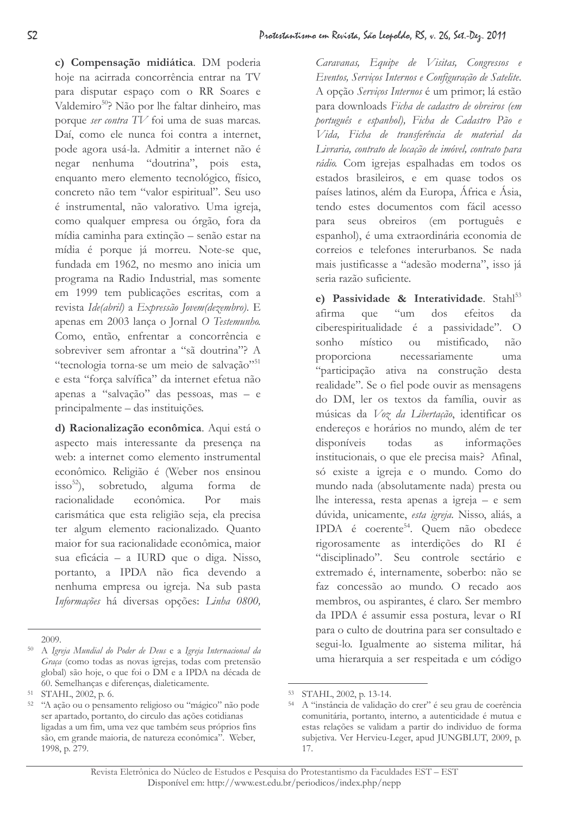c) Compensação midiática. DM poderia hoje na acirrada concorrência entrar na TV para disputar espaço com o RR Soares e Valdemiro<sup>50</sup>? Não por lhe faltar dinheiro, mas porque ser contra TV foi uma de suas marcas. Daí, como ele nunca foi contra a internet, pode agora usá-la. Admitir a internet não é negar nenhuma "doutrina", pois esta, enquanto mero elemento tecnológico, físico, concreto não tem "valor espiritual". Seu uso é instrumental, não valorativo. Uma igreja, como qualquer empresa ou órgão, fora da mídia caminha para extinção - senão estar na mídia é porque já morreu. Note-se que, fundada em 1962, no mesmo ano inicia um programa na Radio Industrial, mas somente em 1999 tem publicações escritas, com a revista Ide(abril) a Expressão Jovem(dezembro). E apenas em 2003 lança o Jornal O Testemunho. Como, então, enfrentar a concorrência e sobreviver sem afrontar a "sã doutrina"? A "tecnologia torna-se um meio de salvação"<sup>51</sup> e esta "força salvífica" da internet efetua não apenas a "salvação" das pessoas, mas - e principalmente – das instituições.

d) Racionalização econômica. Aqui está o aspecto mais interessante da presenca na web: a internet como elemento instrumental econômico. Religião é (Weber nos ensinou sobretudo.  $\frac{1}{1}$  sso<sup>52</sup>), alguma forma de racionalidade econômica.  $Por$ mais carismática que esta religião seja, ela precisa ter algum elemento racionalizado. Quanto maior for sua racionalidade econômica, maior sua eficácia - a IURD que o diga. Nisso, portanto, a IPDA não fica devendo a nenhuma empresa ou igreja. Na sub pasta Informações há diversas opções: Linha 0800,

Caravanas, Equipe de Visitas, Congressos e Eventos, Serviços Internos e Configuração de Satelite. A opção Serviços Internos é um primor; lá estão para downloads Ficha de cadastro de obreiros (em português e espanhol), Ficha de Cadastro Pão e Vida, Ficha de transferência de material da Livraria, contrato de locação de imóvel, contrato para rádio. Com igrejas espalhadas em todos os estados brasileiros, e em quase todos os países latinos, além da Europa, África e Ásia, tendo estes documentos com fácil acesso para seus obreiros (em português e espanhol), é uma extraordinária economia de correios e telefones interurbanos. Se nada mais justificasse a "adesão moderna", isso já seria razão suficiente.

e) Passividade & Interatividade. Stahl<sup>53</sup>  $\alpha$ um dos efeitos afirma que da ciberespiritualidade é a passividade".  $\bigcirc$ sonho místico mistificado. ou não proporciona necessariamente uma "participação ativa na construção desta realidade". Se o fiel pode ouvir as mensagens do DM, ler os textos da família, ouvir as músicas da Voz da Libertação, identificar os endereços e horários no mundo, além de ter disponíveis todas **as** informações institucionais, o que ele precisa mais? Afinal, só existe a igreja e o mundo. Como do mundo nada (absolutamente nada) presta ou lhe interessa, resta apenas a igreja – e sem dúvida, unicamente, esta igreja. Nisso, aliás, a IPDA é coerente<sup>54</sup>. Quem não obedece rigorosamente as interdições do RI é "disciplinado". Seu controle sectário e extremado é, internamente, soberbo: não se faz concessão ao mundo. O recado aos membros, ou aspirantes, é claro. Ser membro da IPDA é assumir essa postura, levar o RI para o culto de doutrina para ser consultado e segui-lo. Igualmente ao sistema militar, há uma hierarquia a ser respeitada e um código

<sup>2009</sup> 

 $50 -$ A Igreja Mundial do Poder de Deus e a Igreja Internacional da Graça (como todas as novas igrejas, todas com pretensão global) são hoje, o que foi o DM e a IPDA na década de 60. Semelhanças e diferenças, dialeticamente.

<sup>51</sup> STAHL, 2002, p. 6.

<sup>&</sup>lt;sup>52</sup> "A ação ou o pensamento religioso ou "mágico" não pode ser apartado, portanto, do circulo das ações cotidianas ligadas a um fim, uma vez que também seus próprios fins são, em grande maioria, de natureza econômica". Weber, 1998, p. 279.

<sup>53</sup> STAHL, 2002, p. 13-14.

A "instância de validação do crer" é seu grau de coerência comunitária, portanto, interno, a autenticidade é mutua e estas relações se validam a partir do individuo de forma subjetiva. Ver Hervieu-Leger, apud JUNGBLUT, 2009, p. 17.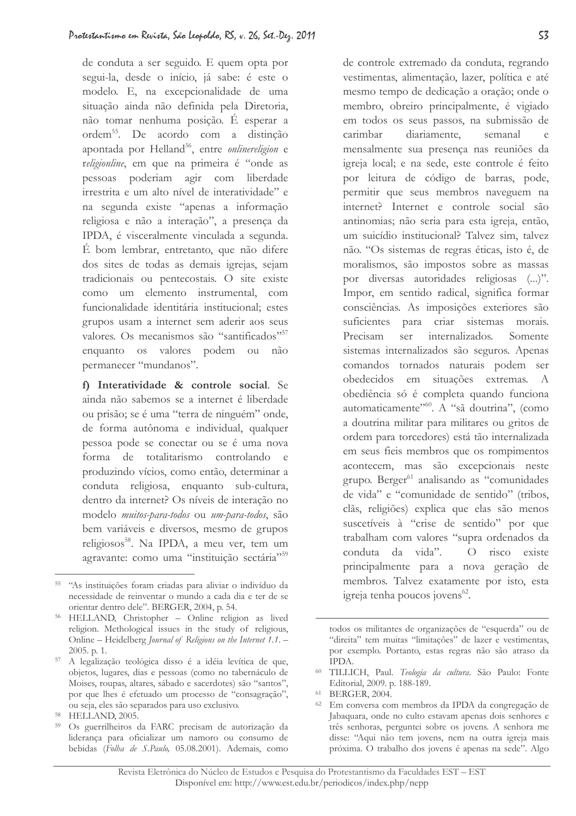de conduta a ser seguido. E quem opta por segui-la, desde o início, já sabe: é este o modelo. E, na excepcionalidade de uma situação ainda não definida pela Diretoria, não tomar nenhuma posição. É esperar a ordem<sup>55</sup>. De acordo com a distinção apontada por Helland<sup>56</sup>, entre onlinereligion e religionline, em que na primeira é "onde as pessoas poderiam agir com liberdade irrestrita e um alto nível de interatividade" e na segunda existe "apenas a informação religiosa e não a interação", a presença da IPDA, é visceralmente vinculada a segunda. É bom lembrar, entretanto, que não difere dos sites de todas as demais igrejas, sejam tradicionais ou pentecostais. O site existe como um elemento instrumental, com funcionalidade identitária institucional: estes grupos usam a internet sem aderir aos seus valores. Os mecanismos são "santificados"<sup>57</sup> enquanto os valores podem ou não permanecer "mundanos".

f) Interatividade & controle social. Se ainda não sabemos se a internet é liberdade ou prisão; se é uma "terra de ninguém" onde, de forma autônoma e individual, qualquer pessoa pode se conectar ou se é uma nova forma de totalitarismo controlando e produzindo vícios, como então, determinar a conduta religiosa, enquanto sub-cultura, dentro da internet? Os níveis de interação no modelo muitos-para-todos ou um-para-todos, são bem variáveis e diversos, mesmo de grupos religiosos<sup>58</sup>. Na IPDA, a meu ver, tem um agravante: como uma "instituição sectária"<sup>59</sup>

de controle extremado da conduta, regrando vestimentas, alimentação, lazer, política e até mesmo tempo de dedicação a oração; onde o membro, obreiro principalmente, é vigiado em todos os seus passos, na submissão de carimbar diariamente. semanal mensalmente sua presença nas reuniões da igreja local; e na sede, este controle é feito por leitura de código de barras, pode, permitir que seus membros naveguem na internet? Internet e controle social são antinomias; não seria para esta igreja, então, um suicídio institucional? Talvez sim, talvez não. "Os sistemas de regras éticas, isto é, de moralismos, são impostos sobre as massas por diversas autoridades religiosas (...)". Impor, em sentido radical, significa formar consciências. As imposições exteriores são suficientes para criar sistemas morais. internalizados. Precisam Somente ser sistemas internalizados são seguros. Apenas comandos tornados naturais podem ser obedecidos em situações extremas. A obediência só é completa quando funciona automaticamente"<sup>560</sup>. A "sã doutrina", (como a doutrina militar para militares ou gritos de ordem para torcedores) está tão internalizada em seus fieis membros que os rompimentos acontecem, mas são excepcionais neste grupo. Berger<sup>61</sup> analisando as "comunidades de vida" e "comunidade de sentido" (tribos, clãs, religiões) explica que elas são menos suscetíveis à "crise de sentido" por que trabalham com valores "supra ordenados da conduta da vida". O risco existe principalmente para a nova geração de membros. Talvez exatamente por isto, esta igreja tenha poucos jovens<sup>62</sup>.

<sup>&</sup>lt;sup>55</sup> "As instituições foram criadas para aliviar o indivíduo da necessidade de reinventar o mundo a cada dia e ter de se orientar dentro dele". BERGER, 2004, p. 54.

<sup>&</sup>lt;sup>56</sup> HELLAND, Christopher - Online religion as lived religion. Methological issues in the study of religious, Online - Heidelberg Journal of Religions on the Internet 1.1. -2005. p. 1.

<sup>&</sup>lt;sup>57</sup> A legalização teológica disso é a idéia levítica de que, objetos, lugares, dias e pessoas (como no tabernáculo de Moises, roupas, altares, sábado e sacerdotes) são "santos", por que lhes é efetuado um processo de "consagração", ou seja, eles são separados para uso exclusivo.

<sup>&</sup>lt;sup>58</sup> HELLAND, 2005.

<sup>59</sup> Os guerrilheiros da FARC precisam de autorização da liderança para oficializar um namoro ou consumo de bebidas (Folha de S.Paulo, 05.08.2001). Ademais, como

todos os militantes de organizações de "esquerda" ou de "direita" tem muitas "limitações" de lazer e vestimentas. por exemplo. Portanto, estas regras não são atraso da **IPDA.** 

<sup>&</sup>lt;sup>60</sup> TILLICH, Paul. Teologia da cultura. São Paulo: Fonte Editorial, 2009. p. 188-189.

<sup>61</sup> BERGER, 2004.

<sup>&</sup>lt;sup>62</sup> Em conversa com membros da IPDA da congregação de Jabaquara, onde no culto estavam apenas dois senhores e três senhoras, perguntei sobre os jovens. A senhora me disse: "Aqui não tem jovens, nem na outra igreja mais próxima. O trabalho dos jovens é apenas na sede". Algo